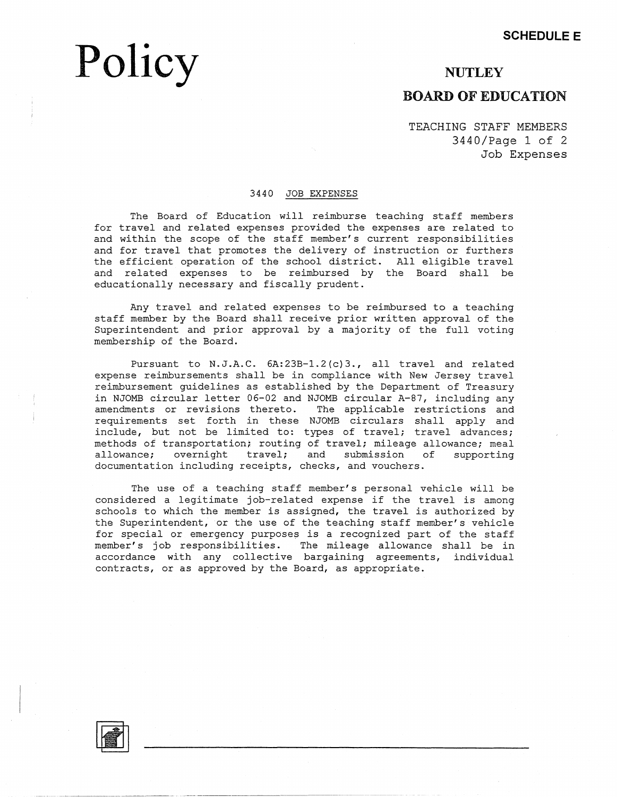## **Policy**

### **NUTLEY BOARD OF EDUCATION**

TEACHING STAFF MEMBERS 3440/Page 1 of 2 Job Expenses

#### 3440 JOB EXPENSES

The Board of Education will reimburse teaching staff members for travel and related expenses provided the expenses are related to and within the scope of the staff member's current responsibilities and for travel that promotes the delivery of instruction or furthers the efficient operation of the school district. All eligible travel and related expenses to be reimbursed by the Board shall be educationally necessary and fiscally prudent.

Any travel and related expenses to be reimbursed to a teaching staff member by the Board shall receive prior written approval of the Superintendent and prior approval by a majority of the full voting membership of the Board.

Pursuant to N.J.A.C. 6A:23B-1.2(c)3., all travel and related expense reimbursements shall be in compliance with New Jersey travel reimbursement guidelines as established by the Department of Treasury in NJOMB circular letter 06-02 and NJOMB circular A-87, including any amendments or revisions thereto. The applicable restrictions and requirements set forth in these NJOMB circulars shall apply and include, but not be limited to: types of travel; travel advances; methods of transportation; routing of travel; mileage allowance; meal allowance; overnight travel; and submission of supporting documentation including receipts, checks, and vouchers.

The use of a teaching staff member's personal vehicle will be considered a legitimate job-related expense if the travel is among schools to which the member is assigned, the travel is authorized by the Superintendent, or the use of the teaching staff member's vehicle for special or emergency purposes is a recognized part of the staff member's job responsibilities. The mileage allowance shall be in accordance with any collective bargaining agreements, individual contracts, or as approved by the Board, as appropriate.